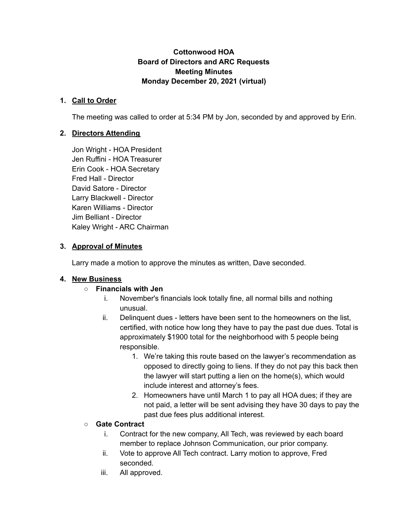## **Cottonwood HOA Board of Directors and ARC Requests Meeting Minutes Monday December 20, 2021 (virtual)**

## **1. Call to Order**

The meeting was called to order at 5:34 PM by Jon, seconded by and approved by Erin.

### **2. Directors Attending**

Jon Wright - HOA President Jen Ruffini - HOA Treasurer Erin Cook - HOA Secretary Fred Hall - Director David Satore - Director Larry Blackwell - Director Karen Williams - Director Jim Belliant - Director Kaley Wright - ARC Chairman

### **3. Approval of Minutes**

Larry made a motion to approve the minutes as written, Dave seconded.

#### **4. New Business**

#### **○ Financials with Jen**

- i. November's financials look totally fine, all normal bills and nothing unusual.
- ii. Delinquent dues letters have been sent to the homeowners on the list, certified, with notice how long they have to pay the past due dues. Total is approximately \$1900 total for the neighborhood with 5 people being responsible.
	- 1. We're taking this route based on the lawyer's recommendation as opposed to directly going to liens. If they do not pay this back then the lawyer will start putting a lien on the home(s), which would include interest and attorney's fees.
	- 2. Homeowners have until March 1 to pay all HOA dues; if they are not paid, a letter will be sent advising they have 30 days to pay the past due fees plus additional interest.

#### **○ Gate Contract**

- i. Contract for the new company, All Tech, was reviewed by each board member to replace Johnson Communication, our prior company.
- ii. Vote to approve All Tech contract. Larry motion to approve, Fred seconded.
- iii. All approved.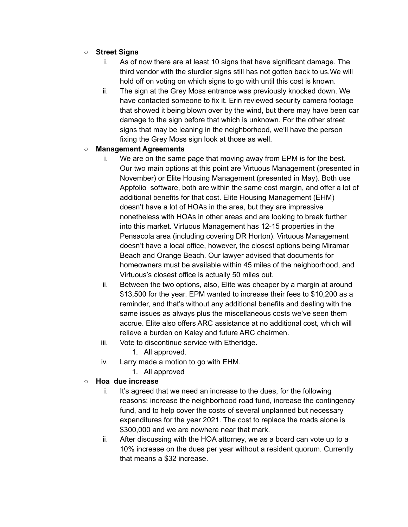## **○ Street Signs**

- i. As of now there are at least 10 signs that have significant damage. The third vendor with the sturdier signs still has not gotten back to us.We will hold off on voting on which signs to go with until this cost is known.
- ii. The sign at the Grey Moss entrance was previously knocked down. We have contacted someone to fix it. Erin reviewed security camera footage that showed it being blown over by the wind, but there may have been car damage to the sign before that which is unknown. For the other street signs that may be leaning in the neighborhood, we'll have the person fixing the Grey Moss sign look at those as well.

#### **○ Management Agreements**

- i. We are on the same page that moving away from EPM is for the best. Our two main options at this point are Virtuous Management (presented in November) or Elite Housing Management (presented in May). Both use Appfolio software, both are within the same cost margin, and offer a lot of additional benefits for that cost. Elite Housing Management (EHM) doesn't have a lot of HOAs in the area, but they are impressive nonetheless with HOAs in other areas and are looking to break further into this market. Virtuous Management has 12-15 properties in the Pensacola area (including covering DR Horton). Virtuous Management doesn't have a local office, however, the closest options being Miramar Beach and Orange Beach. Our lawyer advised that documents for homeowners must be available within 45 miles of the neighborhood, and Virtuous's closest office is actually 50 miles out.
- ii. Between the two options, also, Elite was cheaper by a margin at around \$13,500 for the year. EPM wanted to increase their fees to \$10,200 as a reminder, and that's without any additional benefits and dealing with the same issues as always plus the miscellaneous costs we've seen them accrue. Elite also offers ARC assistance at no additional cost, which will relieve a burden on Kaley and future ARC chairmen.
- iii. Vote to discontinue service with Etheridge.
	- 1. All approved.
- iv. Larry made a motion to go with EHM.
	- 1. All approved

## **○ Hoa due increase**

- i. It's agreed that we need an increase to the dues, for the following reasons: increase the neighborhood road fund, increase the contingency fund, and to help cover the costs of several unplanned but necessary expenditures for the year 2021. The cost to replace the roads alone is \$300,000 and we are nowhere near that mark.
- ii. After discussing with the HOA attorney, we as a board can vote up to a 10% increase on the dues per year without a resident quorum. Currently that means a \$32 increase.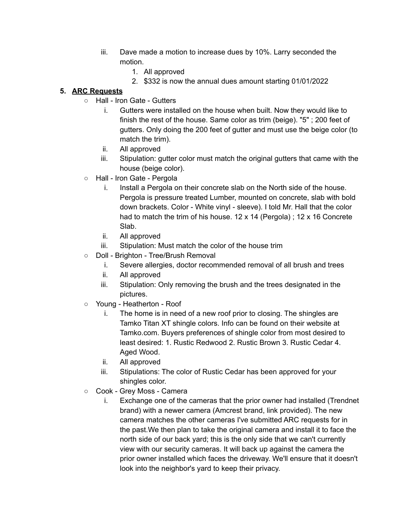- iii. Dave made a motion to increase dues by 10%. Larry seconded the motion.
	- 1. All approved
	- 2. \$332 is now the annual dues amount starting 01/01/2022

# **5. ARC Requests**

- Hall Iron Gate Gutters
	- i. Gutters were installed on the house when built. Now they would like to finish the rest of the house. Same color as trim (beige). "5" ; 200 feet of gutters. Only doing the 200 feet of gutter and must use the beige color (to match the trim).
	- ii. All approved
	- iii. Stipulation: gutter color must match the original gutters that came with the house (beige color).
- Hall Iron Gate Pergola
	- i. Install a Pergola on their concrete slab on the North side of the house. Pergola is pressure treated Lumber, mounted on concrete, slab with bold down brackets. Color - White vinyl - sleeve). I told Mr. Hall that the color had to match the trim of his house. 12 x 14 (Pergola) ; 12 x 16 Concrete Slab.
	- ii. All approved
	- iii. Stipulation: Must match the color of the house trim
- Doll Brighton Tree/Brush Removal
	- i. Severe allergies, doctor recommended removal of all brush and trees
	- ii. All approved
	- iii. Stipulation: Only removing the brush and the trees designated in the pictures.
- Young Heatherton Roof
	- i. The home is in need of a new roof prior to closing. The shingles are Tamko Titan XT shingle colors. Info can be found on their website at Tamko.com. Buyers preferences of shingle color from most desired to least desired: 1. Rustic Redwood 2. Rustic Brown 3. Rustic Cedar 4. Aged Wood.
	- ii. All approved
	- iii. Stipulations: The color of Rustic Cedar has been approved for your shingles color.
- Cook Grey Moss Camera
	- i. Exchange one of the cameras that the prior owner had installed (Trendnet brand) with a newer camera (Amcrest brand, link provided). The new camera matches the other cameras I've submitted ARC requests for in the past.We then plan to take the original camera and install it to face the north side of our back yard; this is the only side that we can't currently view with our security cameras. It will back up against the camera the prior owner installed which faces the driveway. We'll ensure that it doesn't look into the neighbor's yard to keep their privacy.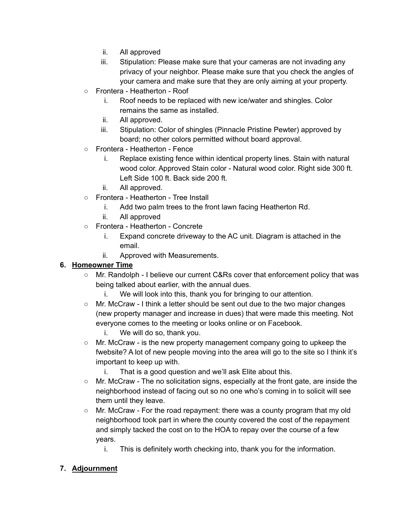- ii. All approved
- iii. Stipulation: Please make sure that your cameras are not invading any privacy of your neighbor. Please make sure that you check the angles of your camera and make sure that they are only aiming at your property.
- Frontera Heatherton Roof
	- i. Roof needs to be replaced with new ice/water and shingles. Color remains the same as installed.
	- ii. All approved.
	- iii. Stipulation: Color of shingles (Pinnacle Pristine Pewter) approved by board; no other colors permitted without board approval.
- Frontera Heatherton Fence
	- i. Replace existing fence within identical property lines. Stain with natural wood color. Approved Stain color - Natural wood color. Right side 300 ft. Left Side 100 ft. Back side 200 ft.
	- ii. All approved.
- Frontera Heatherton Tree Install
	- i. Add two palm trees to the front lawn facing Heatherton Rd.
	- ii. All approved
- Frontera Heatherton Concrete
	- i. Expand concrete driveway to the AC unit. Diagram is attached in the email.
	- ii. Approved with Measurements.

# **6. Homeowner Time**

- Mr. Randolph I believe our current C&Rs cover that enforcement policy that was being talked about earlier, with the annual dues.
	- i. We will look into this, thank you for bringing to our attention.
- Mr. McCraw I think a letter should be sent out due to the two major changes (new property manager and increase in dues) that were made this meeting. Not everyone comes to the meeting or looks online or on Facebook.
	- i. We will do so, thank you.
- Mr. McCraw is the new property management company going to upkeep the fwebsite? A lot of new people moving into the area will go to the site so I think it's important to keep up with.
	- i. That is a good question and we'll ask Elite about this.
- $\circ$  Mr. McCraw The no solicitation signs, especially at the front gate, are inside the neighborhood instead of facing out so no one who's coming in to solicit will see them until they leave.
- $\circ$  Mr. McCraw For the road repayment: there was a county program that my old neighborhood took part in where the county covered the cost of the repayment and simply tacked the cost on to the HOA to repay over the course of a few years.
	- i. This is definitely worth checking into, thank you for the information.

# **7. Adjournment**